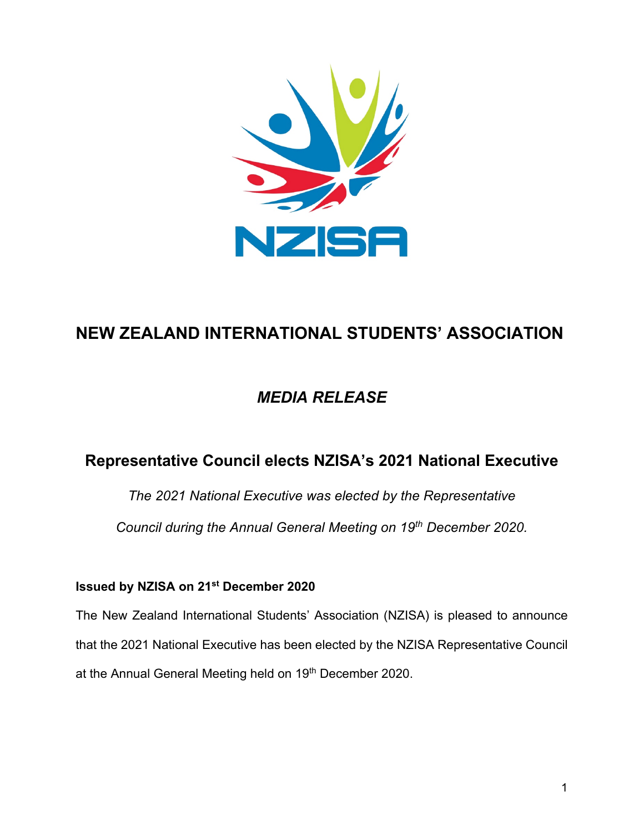

# **NEW ZEALAND INTERNATIONAL STUDENTS' ASSOCIATION**

## *MEDIA RELEASE*

### **Representative Council elects NZISA's 2021 National Executive**

*The 2021 National Executive was elected by the Representative Council during the Annual General Meeting on 19th December 2020.*

#### **Issued by NZISA on 21st December 2020**

The New Zealand International Students' Association (NZISA) is pleased to announce that the 2021 National Executive has been elected by the NZISA Representative Council at the Annual General Meeting held on 19th December 2020.